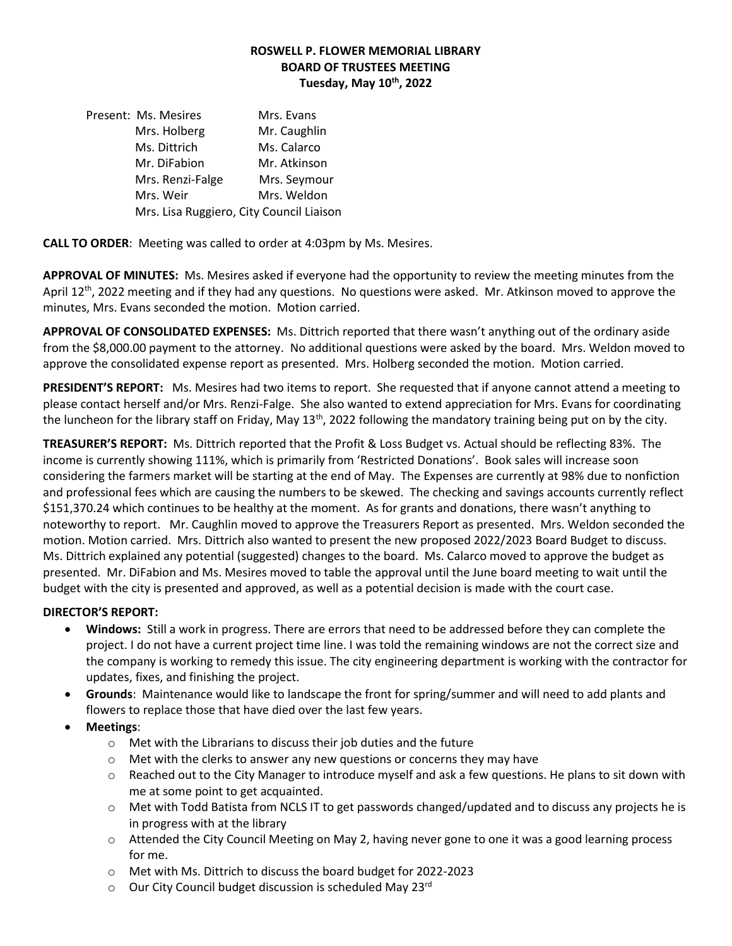# **ROSWELL P. FLOWER MEMORIAL LIBRARY BOARD OF TRUSTEES MEETING Tuesday, May 10th, 2022**

Present: Ms. Mesires Mrs. Evans Mrs. Holberg Mr. Caughlin Ms. Dittrich Ms. Calarco Mr. DiFabion Mr. Atkinson Mrs. Renzi-Falge Mrs. Seymour Mrs. Weir Mrs. Weldon Mrs. Lisa Ruggiero, City Council Liaison

**CALL TO ORDER**: Meeting was called to order at 4:03pm by Ms. Mesires.

**APPROVAL OF MINUTES:** Ms. Mesires asked if everyone had the opportunity to review the meeting minutes from the April 12<sup>th</sup>, 2022 meeting and if they had any questions. No questions were asked. Mr. Atkinson moved to approve the minutes, Mrs. Evans seconded the motion. Motion carried.

**APPROVAL OF CONSOLIDATED EXPENSES:** Ms. Dittrich reported that there wasn't anything out of the ordinary aside from the \$8,000.00 payment to the attorney. No additional questions were asked by the board. Mrs. Weldon moved to approve the consolidated expense report as presented. Mrs. Holberg seconded the motion. Motion carried.

**PRESIDENT'S REPORT:** Ms. Mesires had two items to report. She requested that if anyone cannot attend a meeting to please contact herself and/or Mrs. Renzi-Falge. She also wanted to extend appreciation for Mrs. Evans for coordinating the luncheon for the library staff on Friday, May 13<sup>th</sup>, 2022 following the mandatory training being put on by the city.

**TREASURER'S REPORT:** Ms. Dittrich reported that the Profit & Loss Budget vs. Actual should be reflecting 83%. The income is currently showing 111%, which is primarily from 'Restricted Donations'. Book sales will increase soon considering the farmers market will be starting at the end of May. The Expenses are currently at 98% due to nonfiction and professional fees which are causing the numbers to be skewed. The checking and savings accounts currently reflect \$151,370.24 which continues to be healthy at the moment. As for grants and donations, there wasn't anything to noteworthy to report. Mr. Caughlin moved to approve the Treasurers Report as presented. Mrs. Weldon seconded the motion. Motion carried. Mrs. Dittrich also wanted to present the new proposed 2022/2023 Board Budget to discuss. Ms. Dittrich explained any potential (suggested) changes to the board. Ms. Calarco moved to approve the budget as presented. Mr. DiFabion and Ms. Mesires moved to table the approval until the June board meeting to wait until the budget with the city is presented and approved, as well as a potential decision is made with the court case.

# **DIRECTOR'S REPORT:**

- **Windows:** Still a work in progress. There are errors that need to be addressed before they can complete the project. I do not have a current project time line. I was told the remaining windows are not the correct size and the company is working to remedy this issue. The city engineering department is working with the contractor for updates, fixes, and finishing the project.
- **Grounds**: Maintenance would like to landscape the front for spring/summer and will need to add plants and flowers to replace those that have died over the last few years.
- **Meetings**:
	- o Met with the Librarians to discuss their job duties and the future
	- $\circ$  Met with the clerks to answer any new questions or concerns they may have
	- $\circ$  Reached out to the City Manager to introduce myself and ask a few questions. He plans to sit down with me at some point to get acquainted.
	- o Met with Todd Batista from NCLS IT to get passwords changed/updated and to discuss any projects he is in progress with at the library
	- o Attended the City Council Meeting on May 2, having never gone to one it was a good learning process for me.
	- o Met with Ms. Dittrich to discuss the board budget for 2022-2023
	- o Our City Council budget discussion is scheduled May 23rd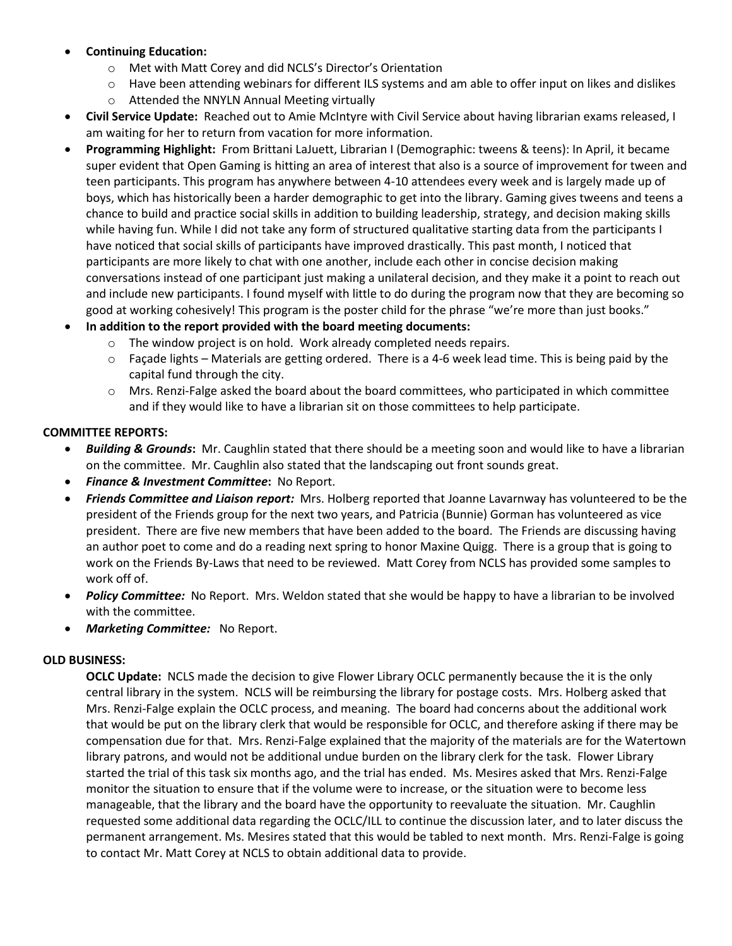- **Continuing Education:**
	- o Met with Matt Corey and did NCLS's Director's Orientation
	- $\circ$  Have been attending webinars for different ILS systems and am able to offer input on likes and dislikes
	- o Attended the NNYLN Annual Meeting virtually
- **Civil Service Update:** Reached out to Amie McIntyre with Civil Service about having librarian exams released, I am waiting for her to return from vacation for more information.
- **Programming Highlight:** From Brittani LaJuett, Librarian I (Demographic: tweens & teens): In April, it became super evident that Open Gaming is hitting an area of interest that also is a source of improvement for tween and teen participants. This program has anywhere between 4-10 attendees every week and is largely made up of boys, which has historically been a harder demographic to get into the library. Gaming gives tweens and teens a chance to build and practice social skills in addition to building leadership, strategy, and decision making skills while having fun. While I did not take any form of structured qualitative starting data from the participants I have noticed that social skills of participants have improved drastically. This past month, I noticed that participants are more likely to chat with one another, include each other in concise decision making conversations instead of one participant just making a unilateral decision, and they make it a point to reach out and include new participants. I found myself with little to do during the program now that they are becoming so good at working cohesively! This program is the poster child for the phrase "we're more than just books."
- **In addition to the report provided with the board meeting documents:**
	- o The window project is on hold. Work already completed needs repairs.
	- $\circ$  Façade lights Materials are getting ordered. There is a 4-6 week lead time. This is being paid by the capital fund through the city.
	- $\circ$  Mrs. Renzi-Falge asked the board about the board committees, who participated in which committee and if they would like to have a librarian sit on those committees to help participate.

### **COMMITTEE REPORTS:**

- *Building & Grounds***:** Mr. Caughlin stated that there should be a meeting soon and would like to have a librarian on the committee. Mr. Caughlin also stated that the landscaping out front sounds great.
- *Finance & Investment Committee***:** No Report.
- *Friends Committee and Liaison report:* Mrs. Holberg reported that Joanne Lavarnway has volunteered to be the president of the Friends group for the next two years, and Patricia (Bunnie) Gorman has volunteered as vice president. There are five new members that have been added to the board. The Friends are discussing having an author poet to come and do a reading next spring to honor Maxine Quigg. There is a group that is going to work on the Friends By-Laws that need to be reviewed. Matt Corey from NCLS has provided some samples to work off of.
- *Policy Committee:* No Report. Mrs. Weldon stated that she would be happy to have a librarian to be involved with the committee.
- *Marketing Committee:* No Report.

### **OLD BUSINESS:**

**OCLC Update:** NCLS made the decision to give Flower Library OCLC permanently because the it is the only central library in the system. NCLS will be reimbursing the library for postage costs. Mrs. Holberg asked that Mrs. Renzi-Falge explain the OCLC process, and meaning. The board had concerns about the additional work that would be put on the library clerk that would be responsible for OCLC, and therefore asking if there may be compensation due for that. Mrs. Renzi-Falge explained that the majority of the materials are for the Watertown library patrons, and would not be additional undue burden on the library clerk for the task. Flower Library started the trial of this task six months ago, and the trial has ended. Ms. Mesires asked that Mrs. Renzi-Falge monitor the situation to ensure that if the volume were to increase, or the situation were to become less manageable, that the library and the board have the opportunity to reevaluate the situation. Mr. Caughlin requested some additional data regarding the OCLC/ILL to continue the discussion later, and to later discuss the permanent arrangement. Ms. Mesires stated that this would be tabled to next month. Mrs. Renzi-Falge is going to contact Mr. Matt Corey at NCLS to obtain additional data to provide.